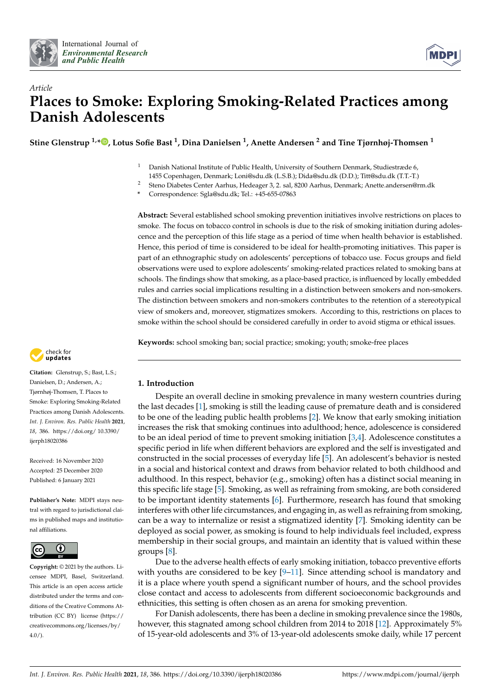



# *Article* **Places to Smoke: Exploring Smoking-Related Practices among Danish Adolescents**

**Stine Glenstrup 1,[\\*](https://orcid.org/0000-0003-2025-2654) , Lotus Sofie Bast <sup>1</sup> , Dina Danielsen <sup>1</sup> , Anette Andersen <sup>2</sup> and Tine Tjørnhøj-Thomsen <sup>1</sup>**

<sup>1</sup> Danish National Institute of Public Health, University of Southern Denmark, Studiestræde 6,

1455 Copenhagen, Denmark; Loni@sdu.dk (L.S.B.); Dida@sdu.dk (D.D.); Titt@sdu.dk (T.T.-T.)

<sup>2</sup> Steno Diabetes Center Aarhus, Hedeager 3, 2. sal, 8200 Aarhus, Denmark; Anette.andersen@rm.dk

**\*** Correspondence: Sgla@sdu.dk; Tel.: +45-655-07863

**Abstract:** Several established school smoking prevention initiatives involve restrictions on places to smoke. The focus on tobacco control in schools is due to the risk of smoking initiation during adolescence and the perception of this life stage as a period of time when health behavior is established. Hence, this period of time is considered to be ideal for health-promoting initiatives. This paper is part of an ethnographic study on adolescents' perceptions of tobacco use. Focus groups and field observations were used to explore adolescents' smoking-related practices related to smoking bans at schools. The findings show that smoking, as a place-based practice, is influenced by locally embedded rules and carries social implications resulting in a distinction between smokers and non-smokers. The distinction between smokers and non-smokers contributes to the retention of a stereotypical view of smokers and, moreover, stigmatizes smokers. According to this, restrictions on places to smoke within the school should be considered carefully in order to avoid stigma or ethical issues.

**Keywords:** school smoking ban; social practice; smoking; youth; smoke-free places



**Citation:** Glenstrup, S.; Bast, L.S.; Danielsen, D.; Andersen, A.; Tjørnhøj-Thomsen, T. Places to Smoke: Exploring Smoking-Related Practices among Danish Adolescents. *Int. J. Environ. Res. Public Health* **2021**, *18*, 386. [https://doi.org/ 10.3390/](https://doi.org/10.3390/ijerph18020386) [ijerph18020386](https://doi.org/10.3390/ijerph18020386)

Received: 16 November 2020 Accepted: 25 December 2020 Published: 6 January 2021

**Publisher's Note:** MDPI stays neutral with regard to jurisdictional claims in published maps and institutional affiliations.



**Copyright:** © 2021 by the authors. Licensee MDPI, Basel, Switzerland. This article is an open access article distributed under the terms and conditions of the Creative Commons Attribution (CC BY) license [\(https://](https://creativecommons.org/licenses/by/4.0/) [creativecommons.org/licenses/by/](https://creativecommons.org/licenses/by/4.0/)  $4.0/$ ).

# **1. Introduction**

Despite an overall decline in smoking prevalence in many western countries during the last decades [\[1\]](#page-9-0), smoking is still the leading cause of premature death and is considered to be one of the leading public health problems [\[2\]](#page-9-1). We know that early smoking initiation increases the risk that smoking continues into adulthood; hence, adolescence is considered to be an ideal period of time to prevent smoking initiation  $[3,4]$  $[3,4]$ . Adolescence constitutes a specific period in life when different behaviors are explored and the self is investigated and constructed in the social processes of everyday life [\[5\]](#page-9-4). An adolescent's behavior is nested in a social and historical context and draws from behavior related to both childhood and adulthood. In this respect, behavior (e.g., smoking) often has a distinct social meaning in this specific life stage [\[5\]](#page-9-4). Smoking, as well as refraining from smoking, are both considered to be important identity statements [\[6\]](#page-9-5). Furthermore, research has found that smoking interferes with other life circumstances, and engaging in, as well as refraining from smoking, can be a way to internalize or resist a stigmatized identity [\[7\]](#page-9-6). Smoking identity can be deployed as social power, as smoking is found to help individuals feel included, express membership in their social groups, and maintain an identity that is valued within these groups [\[8\]](#page-9-7).

Due to the adverse health effects of early smoking initiation, tobacco preventive efforts with youths are considered to be key  $[9-11]$  $[9-11]$ . Since attending school is mandatory and it is a place where youth spend a significant number of hours, and the school provides close contact and access to adolescents from different socioeconomic backgrounds and ethnicities, this setting is often chosen as an arena for smoking prevention.

For Danish adolescents, there has been a decline in smoking prevalence since the 1980s, however, this stagnated among school children from 2014 to 2018 [\[12\]](#page-9-10). Approximately 5% of 15-year-old adolescents and 3% of 13-year-old adolescents smoke daily, while 17 percent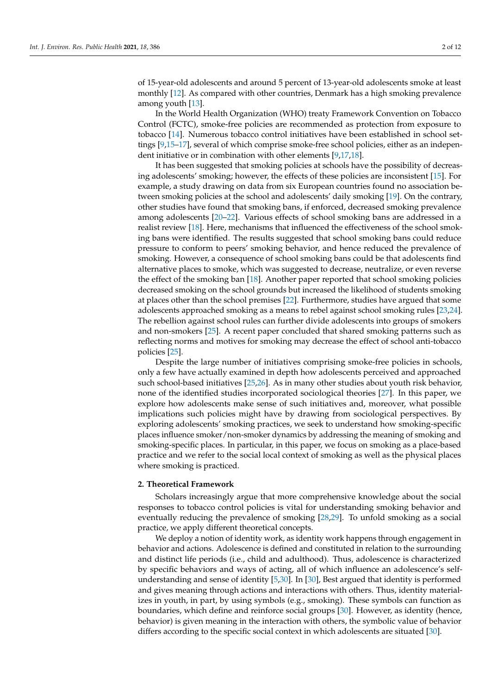of 15-year-old adolescents and around 5 percent of 13-year-old adolescents smoke at least monthly [\[12\]](#page-9-10). As compared with other countries, Denmark has a high smoking prevalence among youth [\[13\]](#page-10-0).

In the World Health Organization (WHO) treaty Framework Convention on Tobacco Control (FCTC), smoke-free policies are recommended as protection from exposure to tobacco [\[14\]](#page-10-1). Numerous tobacco control initiatives have been established in school settings [\[9](#page-9-8)[,15–](#page-10-2)[17\]](#page-10-3), several of which comprise smoke-free school policies, either as an independent initiative or in combination with other elements [\[9,](#page-9-8)[17,](#page-10-3)[18\]](#page-10-4).

It has been suggested that smoking policies at schools have the possibility of decreasing adolescents' smoking; however, the effects of these policies are inconsistent [\[15\]](#page-10-2). For example, a study drawing on data from six European countries found no association between smoking policies at the school and adolescents' daily smoking [\[19\]](#page-10-5). On the contrary, other studies have found that smoking bans, if enforced, decreased smoking prevalence among adolescents [\[20](#page-10-6)[–22\]](#page-10-7). Various effects of school smoking bans are addressed in a realist review [\[18\]](#page-10-4). Here, mechanisms that influenced the effectiveness of the school smoking bans were identified. The results suggested that school smoking bans could reduce pressure to conform to peers' smoking behavior, and hence reduced the prevalence of smoking. However, a consequence of school smoking bans could be that adolescents find alternative places to smoke, which was suggested to decrease, neutralize, or even reverse the effect of the smoking ban [\[18\]](#page-10-4). Another paper reported that school smoking policies decreased smoking on the school grounds but increased the likelihood of students smoking at places other than the school premises [\[22\]](#page-10-7). Furthermore, studies have argued that some adolescents approached smoking as a means to rebel against school smoking rules [\[23](#page-10-8)[,24\]](#page-10-9). The rebellion against school rules can further divide adolescents into groups of smokers and non-smokers [\[25\]](#page-10-10). A recent paper concluded that shared smoking patterns such as reflecting norms and motives for smoking may decrease the effect of school anti-tobacco policies [\[25\]](#page-10-10).

Despite the large number of initiatives comprising smoke-free policies in schools, only a few have actually examined in depth how adolescents perceived and approached such school-based initiatives [\[25](#page-10-10)[,26\]](#page-10-11). As in many other studies about youth risk behavior, none of the identified studies incorporated sociological theories [\[27\]](#page-10-12). In this paper, we explore how adolescents make sense of such initiatives and, moreover, what possible implications such policies might have by drawing from sociological perspectives. By exploring adolescents' smoking practices, we seek to understand how smoking-specific places influence smoker/non-smoker dynamics by addressing the meaning of smoking and smoking-specific places. In particular, in this paper, we focus on smoking as a place-based practice and we refer to the social local context of smoking as well as the physical places where smoking is practiced.

# **2. Theoretical Framework**

Scholars increasingly argue that more comprehensive knowledge about the social responses to tobacco control policies is vital for understanding smoking behavior and eventually reducing the prevalence of smoking [\[28](#page-10-13)[,29\]](#page-10-14). To unfold smoking as a social practice, we apply different theoretical concepts.

We deploy a notion of identity work, as identity work happens through engagement in behavior and actions. Adolescence is defined and constituted in relation to the surrounding and distinct life periods (i.e., child and adulthood). Thus, adolescence is characterized by specific behaviors and ways of acting, all of which influence an adolescence's selfunderstanding and sense of identity [\[5](#page-9-4)[,30\]](#page-10-15). In [\[30\]](#page-10-15), Best argued that identity is performed and gives meaning through actions and interactions with others. Thus, identity materializes in youth, in part, by using symbols (e.g., smoking). These symbols can function as boundaries, which define and reinforce social groups [\[30\]](#page-10-15). However, as identity (hence, behavior) is given meaning in the interaction with others, the symbolic value of behavior differs according to the specific social context in which adolescents are situated [\[30\]](#page-10-15).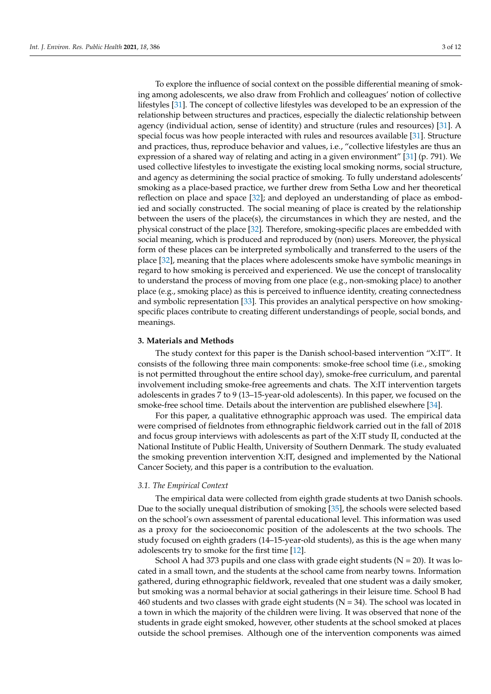To explore the influence of social context on the possible differential meaning of smoking among adolescents, we also draw from Frohlich and colleagues' notion of collective lifestyles [\[31\]](#page-10-16). The concept of collective lifestyles was developed to be an expression of the relationship between structures and practices, especially the dialectic relationship between agency (individual action, sense of identity) and structure (rules and resources) [\[31\]](#page-10-16). A special focus was how people interacted with rules and resources available [\[31\]](#page-10-16). Structure and practices, thus, reproduce behavior and values, i.e., "collective lifestyles are thus an expression of a shared way of relating and acting in a given environment" [\[31\]](#page-10-16) (p. 791). We used collective lifestyles to investigate the existing local smoking norms, social structure, and agency as determining the social practice of smoking. To fully understand adolescents' smoking as a place-based practice, we further drew from Setha Low and her theoretical reflection on place and space [\[32\]](#page-10-17); and deployed an understanding of place as embodied and socially constructed. The social meaning of place is created by the relationship between the users of the place(s), the circumstances in which they are nested, and the physical construct of the place [\[32\]](#page-10-17). Therefore, smoking-specific places are embedded with social meaning, which is produced and reproduced by (non) users. Moreover, the physical form of these places can be interpreted symbolically and transferred to the users of the place [\[32\]](#page-10-17), meaning that the places where adolescents smoke have symbolic meanings in regard to how smoking is perceived and experienced. We use the concept of translocality to understand the process of moving from one place (e.g., non-smoking place) to another place (e.g., smoking place) as this is perceived to influence identity, creating connectedness and symbolic representation [\[33\]](#page-10-18). This provides an analytical perspective on how smokingspecific places contribute to creating different understandings of people, social bonds, and meanings.

## **3. Materials and Methods**

The study context for this paper is the Danish school-based intervention "X:IT". It consists of the following three main components: smoke-free school time (i.e., smoking is not permitted throughout the entire school day), smoke-free curriculum, and parental involvement including smoke-free agreements and chats. The X:IT intervention targets adolescents in grades 7 to 9 (13–15-year-old adolescents). In this paper, we focused on the smoke-free school time. Details about the intervention are published elsewhere [\[34\]](#page-10-19).

For this paper, a qualitative ethnographic approach was used. The empirical data were comprised of fieldnotes from ethnographic fieldwork carried out in the fall of 2018 and focus group interviews with adolescents as part of the X:IT study II, conducted at the National Institute of Public Health, University of Southern Denmark. The study evaluated the smoking prevention intervention X:IT, designed and implemented by the National Cancer Society, and this paper is a contribution to the evaluation.

# *3.1. The Empirical Context*

The empirical data were collected from eighth grade students at two Danish schools. Due to the socially unequal distribution of smoking [\[35\]](#page-10-20), the schools were selected based on the school's own assessment of parental educational level. This information was used as a proxy for the socioeconomic position of the adolescents at the two schools. The study focused on eighth graders (14–15-year-old students), as this is the age when many adolescents try to smoke for the first time [\[12\]](#page-9-10).

School A had 373 pupils and one class with grade eight students ( $N = 20$ ). It was located in a small town, and the students at the school came from nearby towns. Information gathered, during ethnographic fieldwork, revealed that one student was a daily smoker, but smoking was a normal behavior at social gatherings in their leisure time. School B had 460 students and two classes with grade eight students ( $N = 34$ ). The school was located in a town in which the majority of the children were living. It was observed that none of the students in grade eight smoked, however, other students at the school smoked at places outside the school premises. Although one of the intervention components was aimed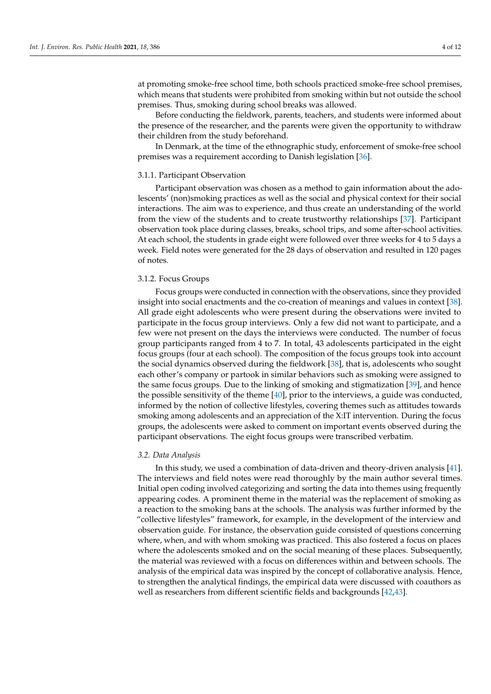at promoting smoke-free school time, both schools practiced smoke-free school premises, which means that students were prohibited from smoking within but not outside the school premises. Thus, smoking during school breaks was allowed.

Before conducting the fieldwork, parents, teachers, and students were informed about the presence of the researcher, and the parents were given the opportunity to withdraw their children from the study beforehand.

In Denmark, at the time of the ethnographic study, enforcement of smoke-free school premises was a requirement according to Danish legislation [\[36\]](#page-10-21).

## 3.1.1. Participant Observation

Participant observation was chosen as a method to gain information about the adolescents' (non)smoking practices as well as the social and physical context for their social interactions. The aim was to experience, and thus create an understanding of the world from the view of the students and to create trustworthy relationships [\[37\]](#page-10-22). Participant observation took place during classes, breaks, school trips, and some after-school activities. At each school, the students in grade eight were followed over three weeks for 4 to 5 days a week. Field notes were generated for the 28 days of observation and resulted in 120 pages of notes.

#### 3.1.2. Focus Groups

Focus groups were conducted in connection with the observations, since they provided insight into social enactments and the co-creation of meanings and values in context [\[38\]](#page-10-23). All grade eight adolescents who were present during the observations were invited to participate in the focus group interviews. Only a few did not want to participate, and a few were not present on the days the interviews were conducted. The number of focus group participants ranged from 4 to 7. In total, 43 adolescents participated in the eight focus groups (four at each school). The composition of the focus groups took into account the social dynamics observed during the fieldwork [\[38\]](#page-10-23), that is, adolescents who sought each other's company or partook in similar behaviors such as smoking were assigned to the same focus groups. Due to the linking of smoking and stigmatization [\[39\]](#page-10-24), and hence the possible sensitivity of the theme [\[40\]](#page-10-25), prior to the interviews, a guide was conducted, informed by the notion of collective lifestyles, covering themes such as attitudes towards smoking among adolescents and an appreciation of the X:IT intervention. During the focus groups, the adolescents were asked to comment on important events observed during the participant observations. The eight focus groups were transcribed verbatim.

# *3.2. Data Analysis*

In this study, we used a combination of data-driven and theory-driven analysis [\[41\]](#page-10-26). The interviews and field notes were read thoroughly by the main author several times. Initial open coding involved categorizing and sorting the data into themes using frequently appearing codes. A prominent theme in the material was the replacement of smoking as a reaction to the smoking bans at the schools. The analysis was further informed by the "collective lifestyles" framework, for example, in the development of the interview and observation guide. For instance, the observation guide consisted of questions concerning where, when, and with whom smoking was practiced. This also fostered a focus on places where the adolescents smoked and on the social meaning of these places. Subsequently, the material was reviewed with a focus on differences within and between schools. The analysis of the empirical data was inspired by the concept of collaborative analysis. Hence, to strengthen the analytical findings, the empirical data were discussed with coauthors as well as researchers from different scientific fields and backgrounds [\[42,](#page-10-27)[43\]](#page-11-0).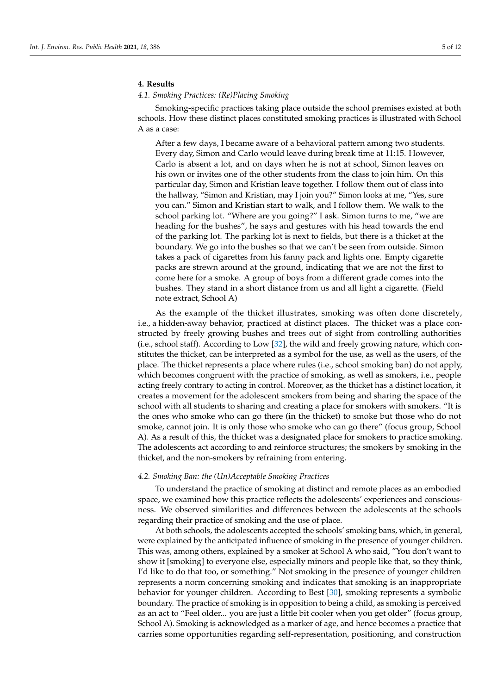# **4. Results**

## *4.1. Smoking Practices: (Re)Placing Smoking*

Smoking-specific practices taking place outside the school premises existed at both schools. How these distinct places constituted smoking practices is illustrated with School A as a case:

After a few days, I became aware of a behavioral pattern among two students. Every day, Simon and Carlo would leave during break time at 11:15. However, Carlo is absent a lot, and on days when he is not at school, Simon leaves on his own or invites one of the other students from the class to join him. On this particular day, Simon and Kristian leave together. I follow them out of class into the hallway, "Simon and Kristian, may I join you?" Simon looks at me, "Yes, sure you can." Simon and Kristian start to walk, and I follow them. We walk to the school parking lot. "Where are you going?" I ask. Simon turns to me, "we are heading for the bushes", he says and gestures with his head towards the end of the parking lot. The parking lot is next to fields, but there is a thicket at the boundary. We go into the bushes so that we can't be seen from outside. Simon takes a pack of cigarettes from his fanny pack and lights one. Empty cigarette packs are strewn around at the ground, indicating that we are not the first to come here for a smoke. A group of boys from a different grade comes into the bushes. They stand in a short distance from us and all light a cigarette. (Field note extract, School A)

As the example of the thicket illustrates, smoking was often done discretely, i.e., a hidden-away behavior, practiced at distinct places. The thicket was a place constructed by freely growing bushes and trees out of sight from controlling authorities (i.e., school staff). According to Low [\[32\]](#page-10-17), the wild and freely growing nature, which constitutes the thicket, can be interpreted as a symbol for the use, as well as the users, of the place. The thicket represents a place where rules (i.e., school smoking ban) do not apply, which becomes congruent with the practice of smoking, as well as smokers, i.e., people acting freely contrary to acting in control. Moreover, as the thicket has a distinct location, it creates a movement for the adolescent smokers from being and sharing the space of the school with all students to sharing and creating a place for smokers with smokers. "It is the ones who smoke who can go there (in the thicket) to smoke but those who do not smoke, cannot join. It is only those who smoke who can go there" (focus group, School A). As a result of this, the thicket was a designated place for smokers to practice smoking. The adolescents act according to and reinforce structures; the smokers by smoking in the thicket, and the non-smokers by refraining from entering.

# *4.2. Smoking Ban: the (Un)Acceptable Smoking Practices*

To understand the practice of smoking at distinct and remote places as an embodied space, we examined how this practice reflects the adolescents' experiences and consciousness. We observed similarities and differences between the adolescents at the schools regarding their practice of smoking and the use of place.

At both schools, the adolescents accepted the schools' smoking bans, which, in general, were explained by the anticipated influence of smoking in the presence of younger children. This was, among others, explained by a smoker at School A who said, "You don't want to show it [smoking] to everyone else, especially minors and people like that, so they think, I'd like to do that too, or something." Not smoking in the presence of younger children represents a norm concerning smoking and indicates that smoking is an inappropriate behavior for younger children. According to Best [\[30\]](#page-10-15), smoking represents a symbolic boundary. The practice of smoking is in opposition to being a child, as smoking is perceived as an act to "Feel older... you are just a little bit cooler when you get older" (focus group, School A). Smoking is acknowledged as a marker of age, and hence becomes a practice that carries some opportunities regarding self-representation, positioning, and construction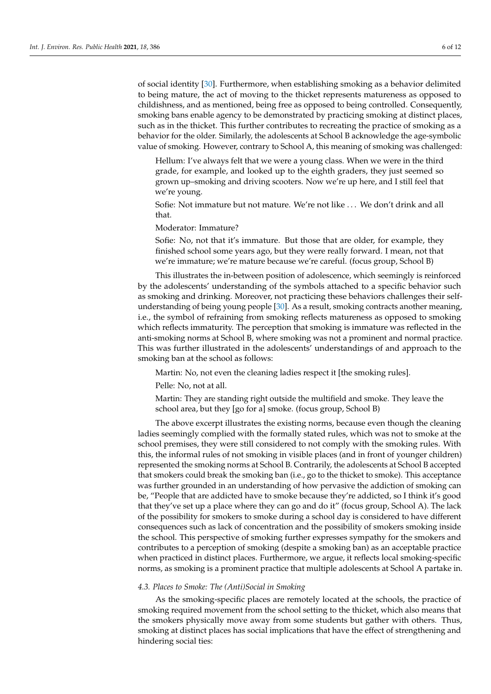of social identity [\[30\]](#page-10-15). Furthermore, when establishing smoking as a behavior delimited to being mature, the act of moving to the thicket represents matureness as opposed to childishness, and as mentioned, being free as opposed to being controlled. Consequently, smoking bans enable agency to be demonstrated by practicing smoking at distinct places, such as in the thicket. This further contributes to recreating the practice of smoking as a behavior for the older. Similarly, the adolescents at School B acknowledge the age-symbolic value of smoking. However, contrary to School A, this meaning of smoking was challenged:

Hellum: I've always felt that we were a young class. When we were in the third grade, for example, and looked up to the eighth graders, they just seemed so grown up–smoking and driving scooters. Now we're up here, and I still feel that we're young.

Sofie: Not immature but not mature. We're not like . . . We don't drink and all that.

Moderator: Immature?

Sofie: No, not that it's immature. But those that are older, for example, they finished school some years ago, but they were really forward. I mean, not that we're immature; we're mature because we're careful. (focus group, School B)

This illustrates the in-between position of adolescence, which seemingly is reinforced by the adolescents' understanding of the symbols attached to a specific behavior such as smoking and drinking. Moreover, not practicing these behaviors challenges their selfunderstanding of being young people [\[30\]](#page-10-15). As a result, smoking contracts another meaning, i.e., the symbol of refraining from smoking reflects matureness as opposed to smoking which reflects immaturity. The perception that smoking is immature was reflected in the anti-smoking norms at School B, where smoking was not a prominent and normal practice. This was further illustrated in the adolescents' understandings of and approach to the smoking ban at the school as follows:

Martin: No, not even the cleaning ladies respect it [the smoking rules].

Pelle: No, not at all.

Martin: They are standing right outside the multifield and smoke. They leave the school area, but they [go for a] smoke. (focus group, School B)

The above excerpt illustrates the existing norms, because even though the cleaning ladies seemingly complied with the formally stated rules, which was not to smoke at the school premises, they were still considered to not comply with the smoking rules. With this, the informal rules of not smoking in visible places (and in front of younger children) represented the smoking norms at School B. Contrarily, the adolescents at School B accepted that smokers could break the smoking ban (i.e., go to the thicket to smoke). This acceptance was further grounded in an understanding of how pervasive the addiction of smoking can be, "People that are addicted have to smoke because they're addicted, so I think it's good that they've set up a place where they can go and do it" (focus group, School A). The lack of the possibility for smokers to smoke during a school day is considered to have different consequences such as lack of concentration and the possibility of smokers smoking inside the school. This perspective of smoking further expresses sympathy for the smokers and contributes to a perception of smoking (despite a smoking ban) as an acceptable practice when practiced in distinct places. Furthermore, we argue, it reflects local smoking-specific norms, as smoking is a prominent practice that multiple adolescents at School A partake in.

#### *4.3. Places to Smoke: The (Anti)Social in Smoking*

As the smoking-specific places are remotely located at the schools, the practice of smoking required movement from the school setting to the thicket, which also means that the smokers physically move away from some students but gather with others. Thus, smoking at distinct places has social implications that have the effect of strengthening and hindering social ties: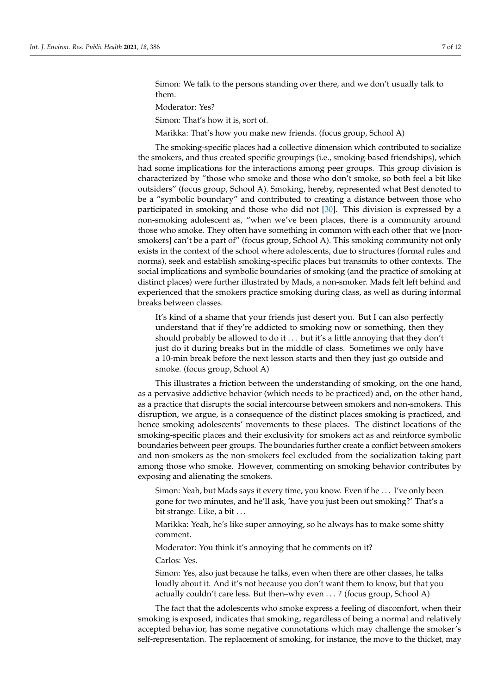Simon: We talk to the persons standing over there, and we don't usually talk to them.

Moderator: Yes?

Simon: That's how it is, sort of.

Marikka: That's how you make new friends. (focus group, School A)

The smoking-specific places had a collective dimension which contributed to socialize the smokers, and thus created specific groupings (i.e., smoking-based friendships), which had some implications for the interactions among peer groups. This group division is characterized by "those who smoke and those who don't smoke, so both feel a bit like outsiders" (focus group, School A). Smoking, hereby, represented what Best denoted to be a "symbolic boundary" and contributed to creating a distance between those who participated in smoking and those who did not [\[30\]](#page-10-15). This division is expressed by a non-smoking adolescent as, "when we've been places, there is a community around those who smoke. They often have something in common with each other that we [nonsmokers] can't be a part of" (focus group, School A). This smoking community not only exists in the context of the school where adolescents, due to structures (formal rules and norms), seek and establish smoking-specific places but transmits to other contexts. The social implications and symbolic boundaries of smoking (and the practice of smoking at distinct places) were further illustrated by Mads, a non-smoker. Mads felt left behind and experienced that the smokers practice smoking during class, as well as during informal breaks between classes.

It's kind of a shame that your friends just desert you. But I can also perfectly understand that if they're addicted to smoking now or something, then they should probably be allowed to do it ... but it's a little annoying that they don't just do it during breaks but in the middle of class. Sometimes we only have a 10-min break before the next lesson starts and then they just go outside and smoke. (focus group, School A)

This illustrates a friction between the understanding of smoking, on the one hand, as a pervasive addictive behavior (which needs to be practiced) and, on the other hand, as a practice that disrupts the social intercourse between smokers and non-smokers. This disruption, we argue, is a consequence of the distinct places smoking is practiced, and hence smoking adolescents' movements to these places. The distinct locations of the smoking-specific places and their exclusivity for smokers act as and reinforce symbolic boundaries between peer groups. The boundaries further create a conflict between smokers and non-smokers as the non-smokers feel excluded from the socialization taking part among those who smoke. However, commenting on smoking behavior contributes by exposing and alienating the smokers.

Simon: Yeah, but Mads says it every time, you know. Even if he . . . I've only been gone for two minutes, and he'll ask, 'have you just been out smoking?' That's a bit strange. Like, a bit . . .

Marikka: Yeah, he's like super annoying, so he always has to make some shitty comment.

Moderator: You think it's annoying that he comments on it?

Carlos: Yes.

Simon: Yes, also just because he talks, even when there are other classes, he talks loudly about it. And it's not because you don't want them to know, but that you actually couldn't care less. But then–why even . . . ? (focus group, School A)

The fact that the adolescents who smoke express a feeling of discomfort, when their smoking is exposed, indicates that smoking, regardless of being a normal and relatively accepted behavior, has some negative connotations which may challenge the smoker's self-representation. The replacement of smoking, for instance, the move to the thicket, may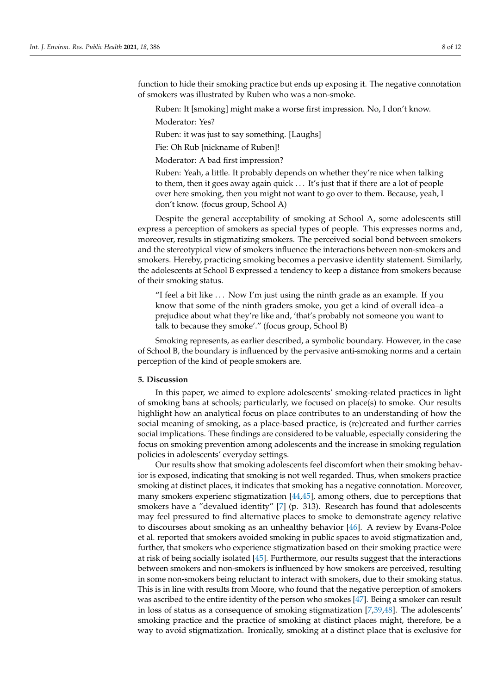function to hide their smoking practice but ends up exposing it. The negative connotation of smokers was illustrated by Ruben who was a non-smoke.

Ruben: It [smoking] might make a worse first impression. No, I don't know.

Moderator: Yes?

Ruben: it was just to say something. [Laughs]

Fie: Oh Rub [nickname of Ruben]!

Moderator: A bad first impression?

Ruben: Yeah, a little. It probably depends on whether they're nice when talking to them, then it goes away again quick . . . It's just that if there are a lot of people over here smoking, then you might not want to go over to them. Because, yeah, I don't know. (focus group, School A)

Despite the general acceptability of smoking at School A, some adolescents still express a perception of smokers as special types of people. This expresses norms and, moreover, results in stigmatizing smokers. The perceived social bond between smokers and the stereotypical view of smokers influence the interactions between non-smokers and smokers. Hereby, practicing smoking becomes a pervasive identity statement. Similarly, the adolescents at School B expressed a tendency to keep a distance from smokers because of their smoking status.

"I feel a bit like . . . Now I'm just using the ninth grade as an example. If you know that some of the ninth graders smoke, you get a kind of overall idea–a prejudice about what they're like and, 'that's probably not someone you want to talk to because they smoke'." (focus group, School B)

Smoking represents, as earlier described, a symbolic boundary. However, in the case of School B, the boundary is influenced by the pervasive anti-smoking norms and a certain perception of the kind of people smokers are.

# **5. Discussion**

In this paper, we aimed to explore adolescents' smoking-related practices in light of smoking bans at schools; particularly, we focused on place(s) to smoke. Our results highlight how an analytical focus on place contributes to an understanding of how the social meaning of smoking, as a place-based practice, is (re)created and further carries social implications. These findings are considered to be valuable, especially considering the focus on smoking prevention among adolescents and the increase in smoking regulation policies in adolescents' everyday settings.

Our results show that smoking adolescents feel discomfort when their smoking behavior is exposed, indicating that smoking is not well regarded. Thus, when smokers practice smoking at distinct places, it indicates that smoking has a negative connotation. Moreover, many smokers experienc stigmatization [\[44,](#page-11-1)[45\]](#page-11-2), among others, due to perceptions that smokers have a "devalued identity" [\[7\]](#page-9-6) (p. 313). Research has found that adolescents may feel pressured to find alternative places to smoke to demonstrate agency relative to discourses about smoking as an unhealthy behavior [\[46\]](#page-11-3). A review by Evans-Polce et al. reported that smokers avoided smoking in public spaces to avoid stigmatization and, further, that smokers who experience stigmatization based on their smoking practice were at risk of being socially isolated [\[45\]](#page-11-2). Furthermore, our results suggest that the interactions between smokers and non-smokers is influenced by how smokers are perceived, resulting in some non-smokers being reluctant to interact with smokers, due to their smoking status. This is in line with results from Moore, who found that the negative perception of smokers was ascribed to the entire identity of the person who smokes [\[47\]](#page-11-4). Being a smoker can result in loss of status as a consequence of smoking stigmatization [\[7,](#page-9-6)[39](#page-10-24)[,48\]](#page-11-5). The adolescents' smoking practice and the practice of smoking at distinct places might, therefore, be a way to avoid stigmatization. Ironically, smoking at a distinct place that is exclusive for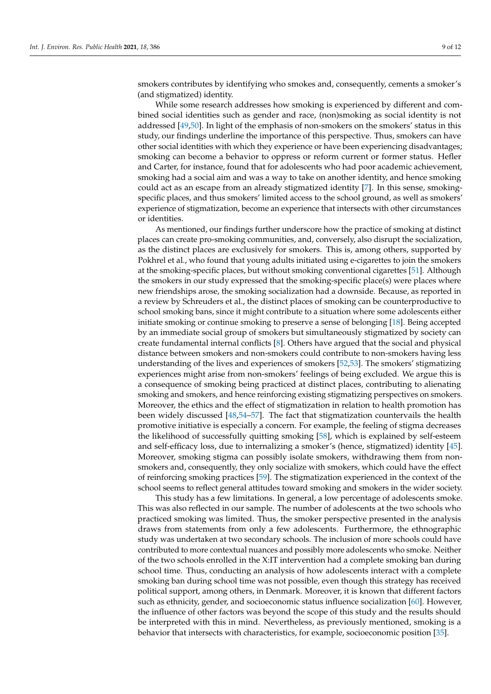smokers contributes by identifying who smokes and, consequently, cements a smoker's (and stigmatized) identity.

While some research addresses how smoking is experienced by different and combined social identities such as gender and race, (non)smoking as social identity is not addressed [\[49,](#page-11-6)[50\]](#page-11-7). In light of the emphasis of non-smokers on the smokers' status in this study, our findings underline the importance of this perspective. Thus, smokers can have other social identities with which they experience or have been experiencing disadvantages; smoking can become a behavior to oppress or reform current or former status. Hefler and Carter, for instance, found that for adolescents who had poor academic achievement, smoking had a social aim and was a way to take on another identity, and hence smoking could act as an escape from an already stigmatized identity [\[7\]](#page-9-6). In this sense, smokingspecific places, and thus smokers' limited access to the school ground, as well as smokers' experience of stigmatization, become an experience that intersects with other circumstances or identities.

As mentioned, our findings further underscore how the practice of smoking at distinct places can create pro-smoking communities, and, conversely, also disrupt the socialization, as the distinct places are exclusively for smokers. This is, among others, supported by Pokhrel et al., who found that young adults initiated using e-cigarettes to join the smokers at the smoking-specific places, but without smoking conventional cigarettes [\[51\]](#page-11-8). Although the smokers in our study expressed that the smoking-specific place(s) were places where new friendships arose, the smoking socialization had a downside. Because, as reported in a review by Schreuders et al., the distinct places of smoking can be counterproductive to school smoking bans, since it might contribute to a situation where some adolescents either initiate smoking or continue smoking to preserve a sense of belonging [\[18\]](#page-10-4). Being accepted by an immediate social group of smokers but simultaneously stigmatized by society can create fundamental internal conflicts [\[8\]](#page-9-7). Others have argued that the social and physical distance between smokers and non-smokers could contribute to non-smokers having less understanding of the lives and experiences of smokers [\[52](#page-11-9)[,53\]](#page-11-10). The smokers' stigmatizing experiences might arise from non-smokers' feelings of being excluded. We argue this is a consequence of smoking being practiced at distinct places, contributing to alienating smoking and smokers, and hence reinforcing existing stigmatizing perspectives on smokers. Moreover, the ethics and the effect of stigmatization in relation to health promotion has been widely discussed [\[48](#page-11-5)[,54–](#page-11-11)[57\]](#page-11-12). The fact that stigmatization countervails the health promotive initiative is especially a concern. For example, the feeling of stigma decreases the likelihood of successfully quitting smoking [\[58\]](#page-11-13), which is explained by self-esteem and self-efficacy loss, due to internalizing a smoker's (hence, stigmatized) identity [\[45\]](#page-11-2). Moreover, smoking stigma can possibly isolate smokers, withdrawing them from nonsmokers and, consequently, they only socialize with smokers, which could have the effect of reinforcing smoking practices [\[59\]](#page-11-14). The stigmatization experienced in the context of the school seems to reflect general attitudes toward smoking and smokers in the wider society.

This study has a few limitations. In general, a low percentage of adolescents smoke. This was also reflected in our sample. The number of adolescents at the two schools who practiced smoking was limited. Thus, the smoker perspective presented in the analysis draws from statements from only a few adolescents. Furthermore, the ethnographic study was undertaken at two secondary schools. The inclusion of more schools could have contributed to more contextual nuances and possibly more adolescents who smoke. Neither of the two schools enrolled in the X:IT intervention had a complete smoking ban during school time. Thus, conducting an analysis of how adolescents interact with a complete smoking ban during school time was not possible, even though this strategy has received political support, among others, in Denmark. Moreover, it is known that different factors such as ethnicity, gender, and socioeconomic status influence socialization [\[60\]](#page-11-15). However, the influence of other factors was beyond the scope of this study and the results should be interpreted with this in mind. Nevertheless, as previously mentioned, smoking is a behavior that intersects with characteristics, for example, socioeconomic position [\[35\]](#page-10-20).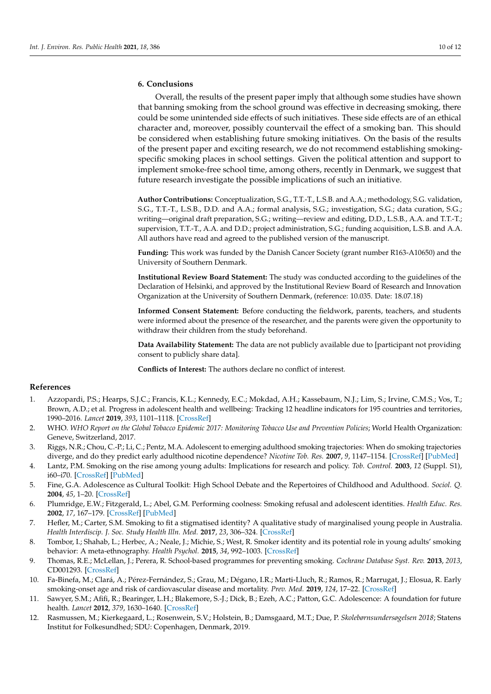# **6. Conclusions**

Overall, the results of the present paper imply that although some studies have shown that banning smoking from the school ground was effective in decreasing smoking, there could be some unintended side effects of such initiatives. These side effects are of an ethical character and, moreover, possibly countervail the effect of a smoking ban. This should be considered when establishing future smoking initiatives. On the basis of the results of the present paper and exciting research, we do not recommend establishing smokingspecific smoking places in school settings. Given the political attention and support to implement smoke-free school time, among others, recently in Denmark, we suggest that future research investigate the possible implications of such an initiative.

**Author Contributions:** Conceptualization, S.G., T.T.-T., L.S.B. and A.A.; methodology, S.G. validation, S.G., T.T.-T., L.S.B., D.D. and A.A.; formal analysis, S.G.; investigation, S.G.; data curation, S.G.; writing—original draft preparation, S.G.; writing—review and editing, D.D., L.S.B., A.A. and T.T.-T.; supervision, T.T.-T., A.A. and D.D.; project administration, S.G.; funding acquisition, L.S.B. and A.A. All authors have read and agreed to the published version of the manuscript.

**Funding:** This work was funded by the Danish Cancer Society (grant number R163-A10650) and the University of Southern Denmark.

**Institutional Review Board Statement:** The study was conducted according to the guidelines of the Declaration of Helsinki, and approved by the Institutional Review Board of Research and Innovation Organization at the University of Southern Denmark, (reference: 10.035. Date: 18.07.18)

**Informed Consent Statement:** Before conducting the fieldwork, parents, teachers, and students were informed about the presence of the researcher, and the parents were given the opportunity to withdraw their children from the study beforehand.

**Data Availability Statement:** The data are not publicly available due to [participant not providing consent to publicly share data].

**Conflicts of Interest:** The authors declare no conflict of interest.

# **References**

- <span id="page-9-0"></span>1. Azzopardi, P.S.; Hearps, S.J.C.; Francis, K.L.; Kennedy, E.C.; Mokdad, A.H.; Kassebaum, N.J.; Lim, S.; Irvine, C.M.S.; Vos, T.; Brown, A.D.; et al. Progress in adolescent health and wellbeing: Tracking 12 headline indicators for 195 countries and territories, 1990–2016. *Lancet* **2019**, *393*, 1101–1118. [\[CrossRef\]](http://doi.org/10.1016/S0140-6736(18)32427-9)
- <span id="page-9-1"></span>2. WHO. *WHO Report on the Global Tobacco Epidemic 2017: Monitoring Tobacco Use and Prevention Policies*; World Health Organization: Geneve, Switzerland, 2017.
- <span id="page-9-2"></span>3. Riggs, N.R.; Chou, C.-P.; Li, C.; Pentz, M.A. Adolescent to emerging adulthood smoking trajectories: When do smoking trajectories diverge, and do they predict early adulthood nicotine dependence? *Nicotine Tob. Res.* **2007**, *9*, 1147–1154. [\[CrossRef\]](http://doi.org/10.1080/14622200701648359) [\[PubMed\]](http://www.ncbi.nlm.nih.gov/pubmed/17978988)
- <span id="page-9-3"></span>4. Lantz, P.M. Smoking on the rise among young adults: Implications for research and policy. *Tob. Control.* **2003**, *12* (Suppl. S1), i60–i70. [\[CrossRef\]](http://doi.org/10.1136/tc.12.suppl_1.i60) [\[PubMed\]](http://www.ncbi.nlm.nih.gov/pubmed/12773786)
- <span id="page-9-4"></span>5. Fine, G.A. Adolescence as Cultural Toolkit: High School Debate and the Repertoires of Childhood and Adulthood. *Sociol. Q.* **2004**, *45*, 1–20. [\[CrossRef\]](http://doi.org/10.1111/j.1533-8525.2004.tb02395.x)
- <span id="page-9-5"></span>6. Plumridge, E.W.; Fitzgerald, L.; Abel, G.M. Performing coolness: Smoking refusal and adolescent identities. *Health Educ. Res.* **2002**, *17*, 167–179. [\[CrossRef\]](http://doi.org/10.1093/her/17.2.167) [\[PubMed\]](http://www.ncbi.nlm.nih.gov/pubmed/12036233)
- <span id="page-9-6"></span>7. Hefler, M.; Carter, S.M. Smoking to fit a stigmatised identity? A qualitative study of marginalised young people in Australia. *Health Interdiscip. J. Soc. Study Health Illn. Med.* **2017**, *23*, 306–324. [\[CrossRef\]](http://doi.org/10.1177/1363459317745690)
- <span id="page-9-7"></span>8. Tombor, I.; Shahab, L.; Herbec, A.; Neale, J.; Michie, S.; West, R. Smoker identity and its potential role in young adults' smoking behavior: A meta-ethnography. *Health Psychol.* **2015**, *34*, 992–1003. [\[CrossRef\]](http://doi.org/10.1037/hea0000191)
- <span id="page-9-8"></span>9. Thomas, R.E.; McLellan, J.; Perera, R. School-based programmes for preventing smoking. *Cochrane Database Syst. Rev.* **2013**, *2013*, CD001293. [\[CrossRef\]](http://doi.org/10.1002/14651858.cd001293.pub3)
- 10. Fa-Binefa, M.; Clará, A.; Pérez-Fernández, S.; Grau, M.; Dégano, I.R.; Marti-Lluch, R.; Ramos, R.; Marrugat, J.; Elosua, R. Early smoking-onset age and risk of cardiovascular disease and mortality. *Prev. Med.* **2019**, *124*, 17–22. [\[CrossRef\]](http://doi.org/10.1016/j.ypmed.2019.04.022)
- <span id="page-9-9"></span>11. Sawyer, S.M.; Afifi, R.; Bearinger, L.H.; Blakemore, S.-J.; Dick, B.; Ezeh, A.C.; Patton, G.C. Adolescence: A foundation for future health. *Lancet* **2012**, *379*, 1630–1640. [\[CrossRef\]](http://doi.org/10.1016/S0140-6736(12)60072-5)
- <span id="page-9-10"></span>12. Rasmussen, M.; Kierkegaard, L.; Rosenwein, S.V.; Holstein, B.; Damsgaard, M.T.; Due, P. *Skolebørnsundersøgelsen 2018*; Statens Institut for Folkesundhed; SDU: Copenhagen, Denmark, 2019.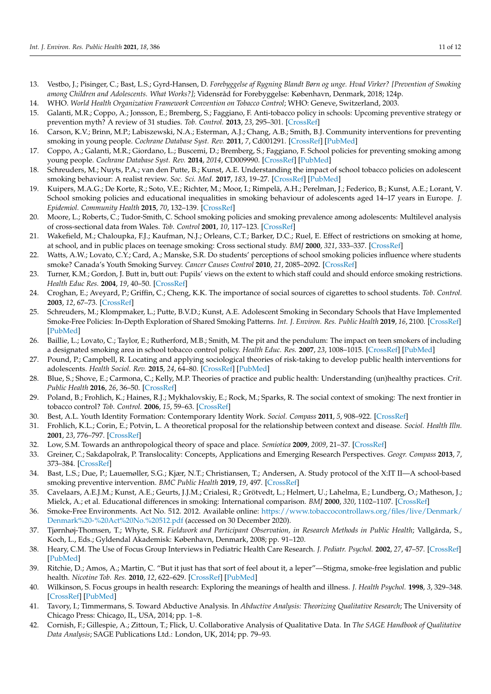- <span id="page-10-0"></span>13. Vestbo, J.; Pisinger, C.; Bast, L.S.; Gyrd-Hansen, D. *Forebyggelse af Rygning Blandt Børn og unge. Hvad Virker? [Prevention of Smoking among Children and Adolescents. What Works?]*; Vidensråd for Forebyggelse: København, Denmark, 2018; 124p.
- <span id="page-10-1"></span>14. WHO. *World Health Organization Framework Convention on Tobacco Control*; WHO: Geneve, Switzerland, 2003.
- <span id="page-10-2"></span>15. Galanti, M.R.; Coppo, A.; Jonsson, E.; Bremberg, S.; Faggiano, F. Anti-tobacco policy in schools: Upcoming preventive strategy or prevention myth? A review of 31 studies. *Tob. Control.* **2013**, *23*, 295–301. [\[CrossRef\]](http://doi.org/10.1136/tobaccocontrol-2012-050846)
- 16. Carson, K.V.; Brinn, M.P.; Labiszewski, N.A.; Esterman, A.J.; Chang, A.B.; Smith, B.J. Community interventions for preventing smoking in young people. *Cochrane Database Syst. Rev.* **2011**, *7*, Cd001291. [\[CrossRef\]](http://doi.org/10.1002/14651858.CD001291.pub2) [\[PubMed\]](http://www.ncbi.nlm.nih.gov/pubmed/21735383)
- <span id="page-10-3"></span>17. Coppo, A.; Galanti, M.R.; Giordano, L.; Buscemi, D.; Bremberg, S.; Faggiano, F. School policies for preventing smoking among young people. *Cochrane Database Syst. Rev.* **2014**, *2014*, CD009990. [\[CrossRef\]](http://doi.org/10.1002/14651858.CD009990.pub2) [\[PubMed\]](http://www.ncbi.nlm.nih.gov/pubmed/25342250)
- <span id="page-10-4"></span>18. Schreuders, M.; Nuyts, P.A.; van den Putte, B.; Kunst, A.E. Understanding the impact of school tobacco policies on adolescent smoking behaviour: A realist review. *Soc. Sci. Med.* **2017**, *183*, 19–27. [\[CrossRef\]](http://doi.org/10.1016/j.socscimed.2017.04.031) [\[PubMed\]](http://www.ncbi.nlm.nih.gov/pubmed/28458071)
- <span id="page-10-5"></span>19. Kuipers, M.A.G.; De Korte, R.; Soto, V.E.; Richter, M.; Moor, I.; Rimpelä, A.H.; Perelman, J.; Federico, B.; Kunst, A.E.; Lorant, V. School smoking policies and educational inequalities in smoking behaviour of adolescents aged 14–17 years in Europe. *J. Epidemiol. Community Health* **2015**, *70*, 132–139. [\[CrossRef\]](http://doi.org/10.1136/jech-2015-205831)
- <span id="page-10-6"></span>20. Moore, L.; Roberts, C.; Tudor-Smith, C. School smoking policies and smoking prevalence among adolescents: Multilevel analysis of cross-sectional data from Wales. *Tob. Control* **2001**, *10*, 117–123. [\[CrossRef\]](http://doi.org/10.1136/tc.10.2.117)
- 21. Wakefield, M.; Chaloupka, F.J.; Kaufman, N.J.; Orleans, C.T.; Barker, D.C.; Ruel, E. Effect of restrictions on smoking at home, at school, and in public places on teenage smoking: Cross sectional study. *BMJ* **2000**, *321*, 333–337. [\[CrossRef\]](http://doi.org/10.1136/bmj.321.7257.333)
- <span id="page-10-7"></span>22. Watts, A.W.; Lovato, C.Y.; Card, A.; Manske, S.R. Do students' perceptions of school smoking policies influence where students smoke? Canada's Youth Smoking Survey. *Cancer Causes Control* **2010**, *21*, 2085–2092. [\[CrossRef\]](http://doi.org/10.1007/s10552-010-9627-1)
- <span id="page-10-8"></span>23. Turner, K.M.; Gordon, J. Butt in, butt out: Pupils' views on the extent to which staff could and should enforce smoking restrictions. *Health Educ Res.* **2004**, *19*, 40–50. [\[CrossRef\]](http://doi.org/10.1093/her/cyg005)
- <span id="page-10-9"></span>24. Croghan, E.; Aveyard, P.; Griffin, C.; Cheng, K.K. The importance of social sources of cigarettes to school students. *Tob. Control.* **2003**, *12*, 67–73. [\[CrossRef\]](http://doi.org/10.1136/tc.12.1.67)
- <span id="page-10-10"></span>25. Schreuders, M.; Klompmaker, L.; Putte, B.V.D.; Kunst, A.E. Adolescent Smoking in Secondary Schools that Have Implemented Smoke-Free Policies: In-Depth Exploration of Shared Smoking Patterns. *Int. J. Environ. Res. Public Health* **2019**, *16*, 2100. [\[CrossRef\]](http://doi.org/10.3390/ijerph16122100) [\[PubMed\]](http://www.ncbi.nlm.nih.gov/pubmed/31200563)
- <span id="page-10-11"></span>26. Baillie, L.; Lovato, C.; Taylor, E.; Rutherford, M.B.; Smith, M. The pit and the pendulum: The impact on teen smokers of including a designated smoking area in school tobacco control policy. *Health Educ. Res.* **2007**, *23*, 1008–1015. [\[CrossRef\]](http://doi.org/10.1093/her/cym003) [\[PubMed\]](http://www.ncbi.nlm.nih.gov/pubmed/18640969)
- <span id="page-10-12"></span>27. Pound, P.; Campbell, R. Locating and applying sociological theories of risk-taking to develop public health interventions for adolescents. *Health Sociol. Rev.* **2015**, *24*, 64–80. [\[CrossRef\]](http://doi.org/10.1080/14461242.2015.1008537) [\[PubMed\]](http://www.ncbi.nlm.nih.gov/pubmed/25999784)
- <span id="page-10-13"></span>28. Blue, S.; Shove, E.; Carmona, C.; Kelly, M.P. Theories of practice and public health: Understanding (un)healthy practices. *Crit. Public Health* **2016**, *26*, 36–50. [\[CrossRef\]](http://doi.org/10.1080/09581596.2014.980396)
- <span id="page-10-14"></span>29. Poland, B.; Frohlich, K.; Haines, R.J.; Mykhalovskiy, E.; Rock, M.; Sparks, R. The social context of smoking: The next frontier in tobacco control? *Tob. Control.* **2006**, *15*, 59–63. [\[CrossRef\]](http://doi.org/10.1136/tc.2004.009886)
- <span id="page-10-15"></span>30. Best, A.L. Youth Identity Formation: Contemporary Identity Work. *Sociol. Compass* **2011**, *5*, 908–922. [\[CrossRef\]](http://doi.org/10.1111/j.1751-9020.2011.00411.x)
- <span id="page-10-16"></span>31. Frohlich, K.L.; Corin, E.; Potvin, L. A theoretical proposal for the relationship between context and disease. *Sociol. Health Illn.* **2001**, *23*, 776–797. [\[CrossRef\]](http://doi.org/10.1111/1467-9566.00275)
- <span id="page-10-17"></span>32. Low, S.M. Towards an anthropological theory of space and place. *Semiotica* **2009**, *2009*, 21–37. [\[CrossRef\]](http://doi.org/10.1515/semi.2009.041)
- <span id="page-10-18"></span>33. Greiner, C.; Sakdapolrak, P. Translocality: Concepts, Applications and Emerging Research Perspectives. *Geogr. Compass* **2013**, *7*, 373–384. [\[CrossRef\]](http://doi.org/10.1111/gec3.12048)
- <span id="page-10-19"></span>34. Bast, L.S.; Due, P.; Lauemøller, S.G.; Kjær, N.T.; Christiansen, T.; Andersen, A. Study protocol of the X:IT II—A school-based smoking preventive intervention. *BMC Public Health* **2019**, *19*, 497. [\[CrossRef\]](http://doi.org/10.1186/s12889-019-6805-2)
- <span id="page-10-20"></span>35. Cavelaars, A.E.J.M.; Kunst, A.E.; Geurts, J.J.M.; Crialesi, R.; Grötvedt, L.; Helmert, U.; Lahelma, E.; Lundberg, O.; Matheson, J.; Mielck, A.; et al. Educational differences in smoking: International comparison. *BMJ* **2000**, *320*, 1102–1107. [\[CrossRef\]](http://doi.org/10.1136/bmj.320.7242.1102)
- <span id="page-10-21"></span>36. Smoke-Free Environments. Act No. 512. 2012. Available online: [https://www.tobaccocontrollaws.org/files/live/Denmark/](https://www.tobaccocontrollaws.org/files/live/Denmark/Denmark%20-%20Act%20No.%20512.pdf) [Denmark%20-%20Act%20No.%20512.pdf](https://www.tobaccocontrollaws.org/files/live/Denmark/Denmark%20-%20Act%20No.%20512.pdf) (accessed on 30 December 2020).
- <span id="page-10-22"></span>37. Tjørnhøj-Thomsen, T.; Whyte, S.R. *Fieldwork and Participant Observation, in Research Methods in Public Health*; Vallgårda, S., Koch, L., Eds.; Gyldendal Akademisk: København, Denmark, 2008; pp. 91–120.
- <span id="page-10-23"></span>38. Heary, C.M. The Use of Focus Group Interviews in Pediatric Health Care Research. *J. Pediatr. Psychol.* **2002**, *27*, 47–57. [\[CrossRef\]](http://doi.org/10.1093/jpepsy/27.1.47) [\[PubMed\]](http://www.ncbi.nlm.nih.gov/pubmed/11726679)
- <span id="page-10-24"></span>39. Ritchie, D.; Amos, A.; Martin, C. "But it just has that sort of feel about it, a leper"—Stigma, smoke-free legislation and public health. *Nicotine Tob. Res.* **2010**, *12*, 622–629. [\[CrossRef\]](http://doi.org/10.1093/ntr/ntq058) [\[PubMed\]](http://www.ncbi.nlm.nih.gov/pubmed/20453042)
- <span id="page-10-25"></span>40. Wilkinson, S. Focus groups in health research: Exploring the meanings of health and illness. *J. Health Psychol.* **1998**, *3*, 329–348. [\[CrossRef\]](http://doi.org/10.1177/135910539800300304) [\[PubMed\]](http://www.ncbi.nlm.nih.gov/pubmed/22021395)
- <span id="page-10-26"></span>41. Tavory, I.; Timmermans, S. Toward Abductive Analysis. In *Abductive Analysis: Theorizing Qualitative Research*; The University of Chicago Press: Chicago, IL, USA, 2014; pp. 1–8.
- <span id="page-10-27"></span>42. Cornish, F.; Gillespie, A.; Zittoun, T.; Flick, U. Collaborative Analysis of Qualitative Data. In *The SAGE Handbook of Qualitative Data Analysis*; SAGE Publications Ltd.: London, UK, 2014; pp. 79–93.